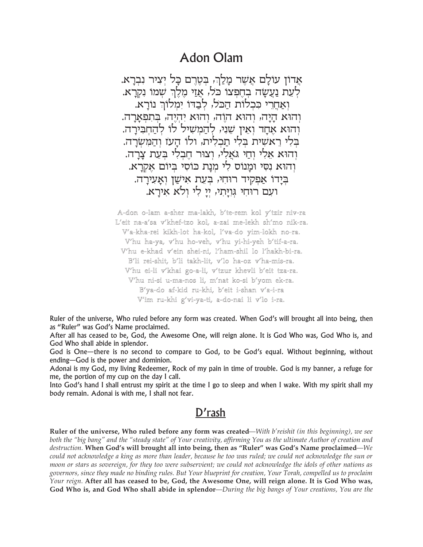## **Adon Olam**

אַדוֹן עולַם אַשֶׁר מַלַךְ, בְטֶרֶם כַּל יָצִיר נִבְרָא. לעת נַעֲשָה בְחֶפִצו כֹּל, אַזַי מֵלֶךְ שִׁמוּ נִקְרַא. וְאַחֲרֵי כִּכְלוֹת הַכֹּל, לְבַדוּ יִמְלוֹךְ נוֹרָא. והוא היה, והוא הוה, והוא יהיה, בתפארה. והוא אֲחָד ואֵין שֵנִי, לִהַמִשִיל לו לִהַחְבִירַה. בלי ראשית בלי תכלית, ולו העז והמשרה. וְהוּא אֱלִי וְחַי גֹּאֱלִי, וְצוּר חֵבְלִי בְעֶת צַרֲה. וְהוּא נְסִי וּמֲנוֹס לִי מִנַת כּוֹסִי בִּיוֹם אַקְרַא. בידו אפקיד רוחי, בעת אישו ואעירה. ועם רוחי גויתי, יי לי ולא אירא.

A-don o-lam a-sher ma-lakh, b'te-rem kol y'tzir niv-ra L'eit na-a'sa v'khef-tzo kol, a-zai me-lekh sh'mo nik-ra. V'a-kha-rei kikh-lot ha-kol, l'va-do yim-lokh no-ra. V'hu ha-ya, v'hu ho-veh, v'hu yi-hi-yeh b'tif-a-ra. V'hu e-khad v'ein shei-ni, l'ham-shil lo l'hakh-bi-ra. B'li rei-shit, b'li takh-lit, v'lo ha-oz v'ha-mis-ra. V'hu ei-li v'khai go-a-li, v'tzur khevli b'eit tza-ra. V'hu ni-si u-ma-nos li, m'nat ko-si b'yom ek-ra. B'ya-do af-kid ru-khi, b'eit i-shan v'a-i-ra V'im ru-khi g'vi-ya-ti, a-do-nai li v'lo i-ra.

Ruler of the universe, Who ruled before any form was created. When God's will brought all into being, then as "Ruler" was God's Name proclaimed.

After all has ceased to be, God, the Awesome One, will reign alone. It is God Who was, God Who is, and God Who shall abide in splendor.

God is One—there is no second to compare to God, to be God's equal. Without beginning, without ending-God is the power and dominion.

Adonai is my God, my living Redeemer, Rock of my pain in time of trouble. God is my banner, a refuge for me, the portion of my cup on the day I call.

Into God's hand I shall entrust my spirit at the time I go to sleep and when I wake. With my spirit shall my body remain. Adonai is with me, I shall not fear.

## D'rash

Ruler of the universe, Who ruled before any form was created—With b'reishit (in this beginning), we see both the "big bang" and the "steady state" of Your creativity, affirming You as the ultimate Author of creation and destruction. When God's will brought all into being, then as "Ruler" was God's Name proclaimed—We could not acknowledge a king as more than leader, because he too was ruled; we could not acknowledge the sun or moon or stars as sovereign, for they too were subservient; we could not acknowledge the idols of other nations as governors, since they made no binding rules. But Your blueprint for creation, Your Torah, compelled us to proclaim Your reign. After all has ceased to be, God, the Awesome One, will reign alone. It is God Who was, God Who is, and God Who shall abide in splendor-During the big bangs of Your creations, You are the